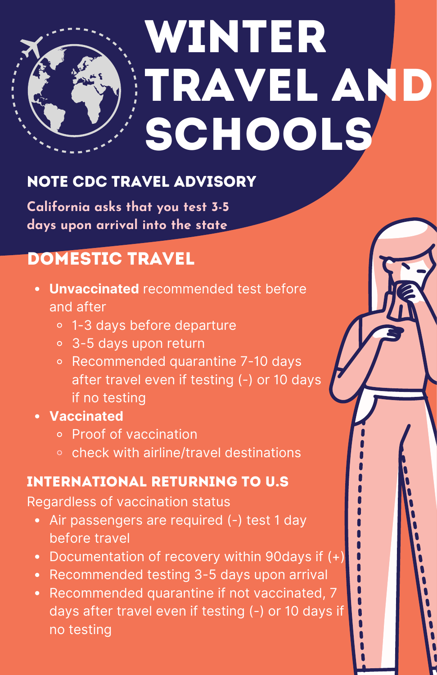

## Note CDC Travel Advisory

**California asks that you test 3-5 days upon arrival into the state**

# DOMESTIC TRAVEL

- **Unvaccinated** recommended test before and after
	- 1-3 days before departure
	- 3-5 days upon return
	- o Recommended quarantine 7-10 days after travel even if testing (-) or 10 days if no testing
- **Vaccinated**
	- Proof of vaccination
	- o check with airline/travel destinations

### International Returning to U.s

Regardless of vaccination status

- Air passengers are required (-) test 1 day before travel
- Documentation of recovery within 90days if (+)
- Recommended testing 3-5 days upon arrival
- Recommended quarantine if not vaccinated, 7 days after travel even if testing (-) or 10 days if no testing